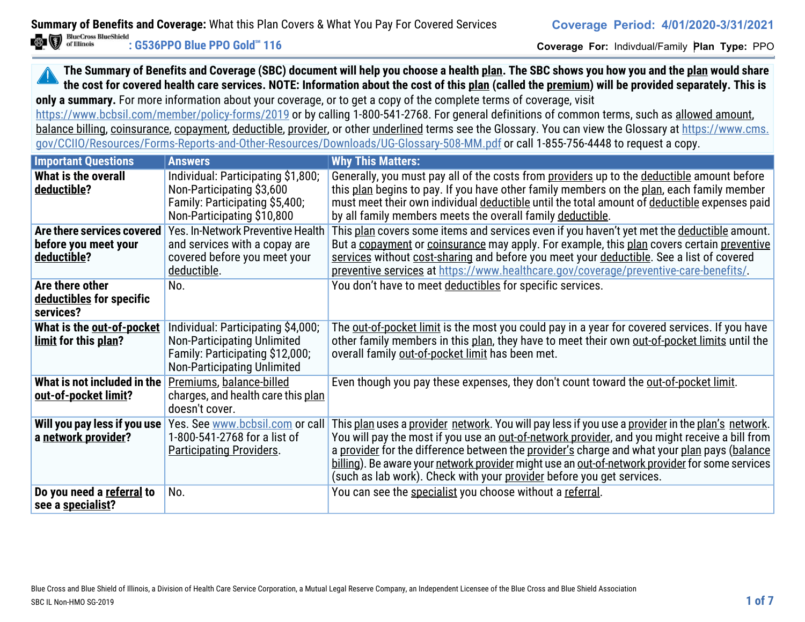**Coverage For:** Indivdual/Family **Plan Type:** PPO

### **The Summary of Benefits and Coverage (SBC) document will help you choose a health plan. The SBC shows you how you and the plan would share the cost for covered health care services. NOTE: Information about the cost of this plan (called the premium) will be provided separately. This is only a summary.** For more information about your coverage, or to get a copy of the complete terms of coverage, visit

https://www.bcbsil.com/member/policy-forms/2019 or by calling 1-800-541-2768. For general definitions of common terms, such as allowed amount, balance billing, coinsurance, copayment, deductible, provider, or other underlined terms see the Glossary. You can view the Glossary at https://www.cms. gov/CCIIO/Resources/Forms-Reports-and-Other-Resources/Downloads/UG-Glossary-508-MM.pdf or call 1-855-756-4448 to request a copy.

| <b>Important Questions</b>                                        | <b>Answers</b>                                                                                                                                    | <b>Why This Matters:</b>                                                                                                                                                                                                                                                                                                                                                                                                                                                        |
|-------------------------------------------------------------------|---------------------------------------------------------------------------------------------------------------------------------------------------|---------------------------------------------------------------------------------------------------------------------------------------------------------------------------------------------------------------------------------------------------------------------------------------------------------------------------------------------------------------------------------------------------------------------------------------------------------------------------------|
| What is the overall<br>deductible?                                | Individual: Participating \$1,800;<br>Non-Participating \$3,600<br>Family: Participating \$5,400;<br>Non-Participating \$10,800                   | Generally, you must pay all of the costs from providers up to the deductible amount before<br>this plan begins to pay. If you have other family members on the plan, each family member<br>must meet their own individual deductible until the total amount of deductible expenses paid<br>by all family members meets the overall family deductible.                                                                                                                           |
| Are there services covered<br>before you meet your<br>deductible? | Yes. In-Network Preventive Health<br>and services with a copay are<br>covered before you meet your<br>deductible.                                 | This plan covers some items and services even if you haven't yet met the deductible amount.<br>But a copayment or coinsurance may apply. For example, this plan covers certain preventive<br>services without cost-sharing and before you meet your deductible. See a list of covered<br>preventive services at https://www.healthcare.gov/coverage/preventive-care-benefits/.                                                                                                  |
| Are there other<br>deductibles for specific<br>services?          | No.                                                                                                                                               | You don't have to meet deductibles for specific services.                                                                                                                                                                                                                                                                                                                                                                                                                       |
| What is the out-of-pocket<br>limit for this plan?                 | Individual: Participating \$4,000;<br><b>Non-Participating Unlimited</b><br>Family: Participating \$12,000;<br><b>Non-Participating Unlimited</b> | The out-of-pocket limit is the most you could pay in a year for covered services. If you have<br>other family members in this plan, they have to meet their own out-of-pocket limits until the<br>overall family out-of-pocket limit has been met.                                                                                                                                                                                                                              |
| What is not included in the<br>out-of-pocket limit?               | Premiums, balance-billed<br>charges, and health care this plan<br>doesn't cover.                                                                  | Even though you pay these expenses, they don't count toward the out-of-pocket limit.                                                                                                                                                                                                                                                                                                                                                                                            |
| Will you pay less if you use<br>a network provider?               | Yes. See www.bcbsil.com or call<br>1-800-541-2768 for a list of<br><b>Participating Providers.</b>                                                | This plan uses a provider network. You will pay less if you use a provider in the plan's network.<br>You will pay the most if you use an out-of-network provider, and you might receive a bill from<br>a provider for the difference between the provider's charge and what your plan pays (balance<br>billing). Be aware your network provider might use an out-of-network provider for some services<br>(such as lab work). Check with your provider before you get services. |
| Do you need a referral to<br>see a specialist?                    | No.                                                                                                                                               | You can see the specialist you choose without a referral.                                                                                                                                                                                                                                                                                                                                                                                                                       |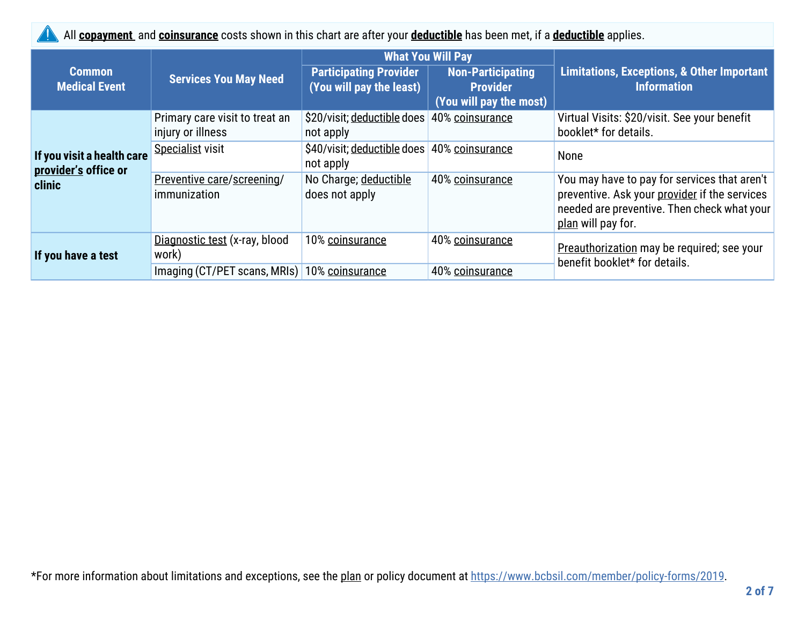All **copayment** and **coinsurance** costs shown in this chart are after your **deductible** has been met, if a **deductible** applies.

|                                                    |                                                     |                                                           | <b>What You Will Pay</b>                                               |                                                                                                                                                                    |
|----------------------------------------------------|-----------------------------------------------------|-----------------------------------------------------------|------------------------------------------------------------------------|--------------------------------------------------------------------------------------------------------------------------------------------------------------------|
| <b>Common</b><br><b>Medical Event</b>              | <b>Services You May Need</b>                        | <b>Participating Provider</b><br>(You will pay the least) | <b>Non-Participating</b><br><b>Provider</b><br>(You will pay the most) | <b>Limitations, Exceptions, &amp; Other Important</b><br><b>Information</b>                                                                                        |
|                                                    | Primary care visit to treat an<br>injury or illness | \$20/visit; deductible does<br>not apply                  | 40% coinsurance                                                        | Virtual Visits: \$20/visit. See your benefit<br>booklet* for details.                                                                                              |
| If you visit a health care<br>provider's office or | Specialist visit                                    | \$40/visit; deductible does<br>not apply                  | 40% coinsurance                                                        | None                                                                                                                                                               |
| clinic                                             | Preventive care/screening/<br>immunization          | No Charge; deductible<br>does not apply                   | 40% coinsurance                                                        | You may have to pay for services that aren't<br>preventive. Ask your provider if the services<br>needed are preventive. Then check what your<br>plan will pay for. |
| If you have a test                                 | Diagnostic test (x-ray, blood<br>work)              | 10% coinsurance                                           | 40% coinsurance                                                        | Preauthorization may be required; see your<br>benefit booklet* for details.                                                                                        |
|                                                    | Imaging (CT/PET scans, MRIs) 10% coinsurance        |                                                           | 40% coinsurance                                                        |                                                                                                                                                                    |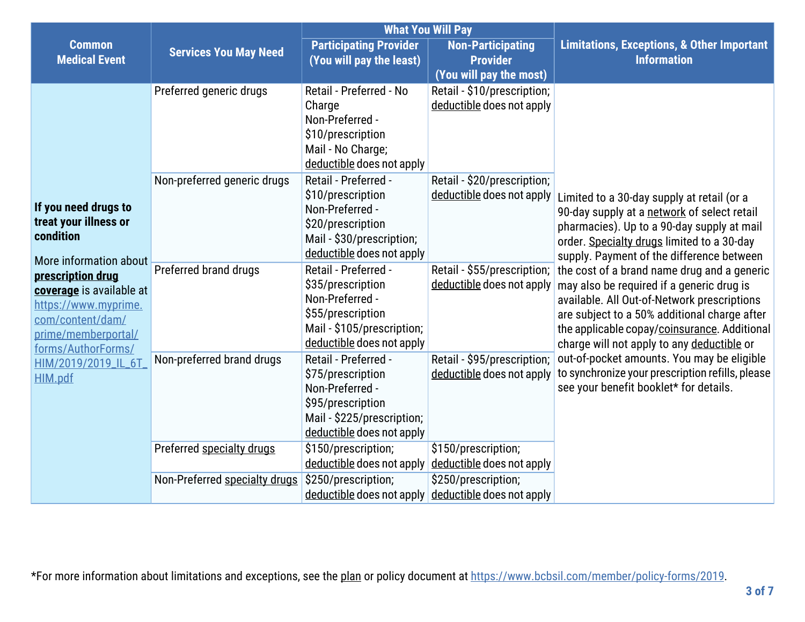|                                           |                               | <b>What You Will Pay</b>                                  |                                             |                                                                                          |
|-------------------------------------------|-------------------------------|-----------------------------------------------------------|---------------------------------------------|------------------------------------------------------------------------------------------|
| <b>Common</b><br><b>Medical Event</b>     | <b>Services You May Need</b>  | <b>Participating Provider</b><br>(You will pay the least) | <b>Non-Participating</b><br><b>Provider</b> | <b>Limitations, Exceptions, &amp; Other Important</b><br><b>Information</b>              |
|                                           |                               |                                                           | (You will pay the most)                     |                                                                                          |
|                                           | Preferred generic drugs       | Retail - Preferred - No                                   | Retail - \$10/prescription;                 |                                                                                          |
|                                           |                               | Charge                                                    | deductible does not apply                   |                                                                                          |
|                                           |                               | Non-Preferred -                                           |                                             |                                                                                          |
|                                           |                               | \$10/prescription                                         |                                             |                                                                                          |
|                                           |                               | Mail - No Charge;                                         |                                             |                                                                                          |
|                                           |                               | deductible does not apply                                 |                                             |                                                                                          |
|                                           | Non-preferred generic drugs   | Retail - Preferred -                                      | Retail - \$20/prescription;                 |                                                                                          |
| If you need drugs to                      |                               | \$10/prescription                                         | deductible does not apply                   | Limited to a 30-day supply at retail (or a                                               |
| treat your illness or                     |                               | Non-Preferred -                                           |                                             | 90-day supply at a network of select retail                                              |
| condition                                 |                               | \$20/prescription                                         |                                             | pharmacies). Up to a 90-day supply at mail                                               |
|                                           |                               | Mail - \$30/prescription;<br>deductible does not apply    |                                             | order. Specialty drugs limited to a 30-day                                               |
| More information about                    | Preferred brand drugs         | Retail - Preferred -                                      | Retail - \$55/prescription;                 | supply. Payment of the difference between                                                |
| prescription drug                         |                               | \$35/prescription                                         | deductible does not apply                   | the cost of a brand name drug and a generic                                              |
| coverage is available at                  |                               | Non-Preferred -                                           |                                             | may also be required if a generic drug is<br>available. All Out-of-Network prescriptions |
| https://www.myprime.                      |                               | \$55/prescription                                         |                                             | are subject to a 50% additional charge after                                             |
| com/content/dam/                          |                               | Mail - \$105/prescription;                                |                                             | the applicable copay/coinsurance. Additional                                             |
| prime/memberportal/                       |                               | deductible does not apply                                 |                                             | charge will not apply to any deductible or                                               |
| forms/AuthorForms/<br>HIM/2019/2019_IL_6T | Non-preferred brand drugs     | Retail - Preferred -                                      | Retail - \$95/prescription;                 | out-of-pocket amounts. You may be eligible                                               |
| HIM.pdf                                   |                               | \$75/prescription                                         | deductible does not apply                   | to synchronize your prescription refills, please                                         |
|                                           |                               | Non-Preferred -                                           |                                             | see your benefit booklet* for details.                                                   |
|                                           |                               | \$95/prescription                                         |                                             |                                                                                          |
|                                           |                               | Mail - \$225/prescription;                                |                                             |                                                                                          |
|                                           |                               | deductible does not apply                                 |                                             |                                                                                          |
|                                           | Preferred specialty drugs     | \$150/prescription;                                       | \$150/prescription;                         |                                                                                          |
|                                           |                               | deductible does not apply                                 | deductible does not apply                   |                                                                                          |
|                                           | Non-Preferred specialty drugs | \$250/prescription;                                       | \$250/prescription;                         |                                                                                          |
|                                           |                               | deductible does not apply                                 | deductible does not apply                   |                                                                                          |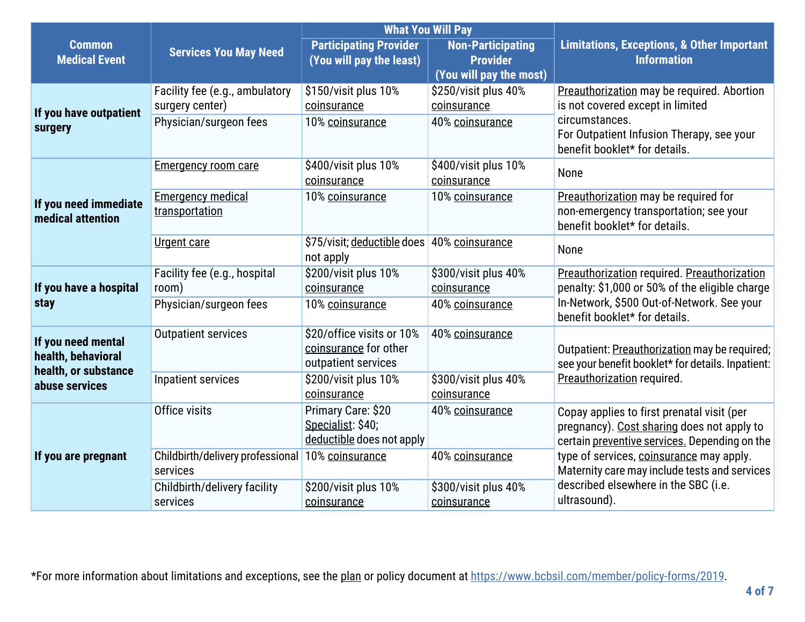|                                                                  |                                              |                                                                           | <b>What You Will Pay</b>                    |                                                                                                                                           |  |
|------------------------------------------------------------------|----------------------------------------------|---------------------------------------------------------------------------|---------------------------------------------|-------------------------------------------------------------------------------------------------------------------------------------------|--|
| <b>Common</b><br><b>Medical Event</b>                            | <b>Services You May Need</b>                 | <b>Participating Provider</b><br>(You will pay the least)                 | <b>Non-Participating</b><br><b>Provider</b> | <b>Limitations, Exceptions, &amp; Other Important</b><br><b>Information</b>                                                               |  |
|                                                                  |                                              |                                                                           | (You will pay the most)                     |                                                                                                                                           |  |
|                                                                  | Facility fee (e.g., ambulatory               | \$150/visit plus 10%                                                      | \$250/visit plus 40%                        | Preauthorization may be required. Abortion                                                                                                |  |
| If you have outpatient                                           | surgery center)                              | coinsurance                                                               | coinsurance                                 | is not covered except in limited                                                                                                          |  |
| surgery                                                          | Physician/surgeon fees                       | 10% coinsurance                                                           | 40% coinsurance                             | circumstances.<br>For Outpatient Infusion Therapy, see your<br>benefit booklet* for details.                                              |  |
|                                                                  | <b>Emergency room care</b>                   | \$400/visit plus 10%<br>coinsurance                                       | \$400/visit plus 10%<br>coinsurance         | None                                                                                                                                      |  |
| If you need immediate<br>medical attention                       | <b>Emergency medical</b><br>transportation   | 10% coinsurance                                                           | 10% coinsurance                             | Preauthorization may be required for<br>non-emergency transportation; see your<br>benefit booklet* for details.                           |  |
|                                                                  | <b>Urgent care</b>                           | \$75/visit; deductible does 40% coinsurance<br>not apply                  |                                             | None                                                                                                                                      |  |
| If you have a hospital<br>stay                                   | Facility fee (e.g., hospital                 | \$200/visit plus 10%                                                      | \$300/visit plus 40%                        | Preauthorization required. Preauthorization                                                                                               |  |
|                                                                  | room)                                        | coinsurance                                                               | coinsurance                                 | penalty: \$1,000 or 50% of the eligible charge                                                                                            |  |
|                                                                  | Physician/surgeon fees                       | 10% coinsurance                                                           | 40% coinsurance                             | In-Network, \$500 Out-of-Network. See your<br>benefit booklet* for details.                                                               |  |
| If you need mental<br>health, behavioral<br>health, or substance | <b>Outpatient services</b>                   | \$20/office visits or 10%<br>coinsurance for other<br>outpatient services | 40% coinsurance                             | Outpatient: Preauthorization may be required;<br>see your benefit booklet* for details. Inpatient:                                        |  |
| abuse services                                                   | Inpatient services                           | \$200/visit plus 10%<br>coinsurance                                       | \$300/visit plus 40%<br>coinsurance         | Preauthorization required.                                                                                                                |  |
|                                                                  | Office visits                                | Primary Care: \$20<br>Specialist: \$40;<br>deductible does not apply      | 40% coinsurance                             | Copay applies to first prenatal visit (per<br>pregnancy). Cost sharing does not apply to<br>certain preventive services. Depending on the |  |
| If you are pregnant                                              | Childbirth/delivery professional<br>services | 10% coinsurance                                                           | 40% coinsurance                             | type of services, coinsurance may apply.<br>Maternity care may include tests and services                                                 |  |
|                                                                  | Childbirth/delivery facility                 | \$200/visit plus 10%                                                      | \$300/visit plus 40%                        | described elsewhere in the SBC (i.e.                                                                                                      |  |
|                                                                  | services                                     | coinsurance                                                               | coinsurance                                 | ultrasound).                                                                                                                              |  |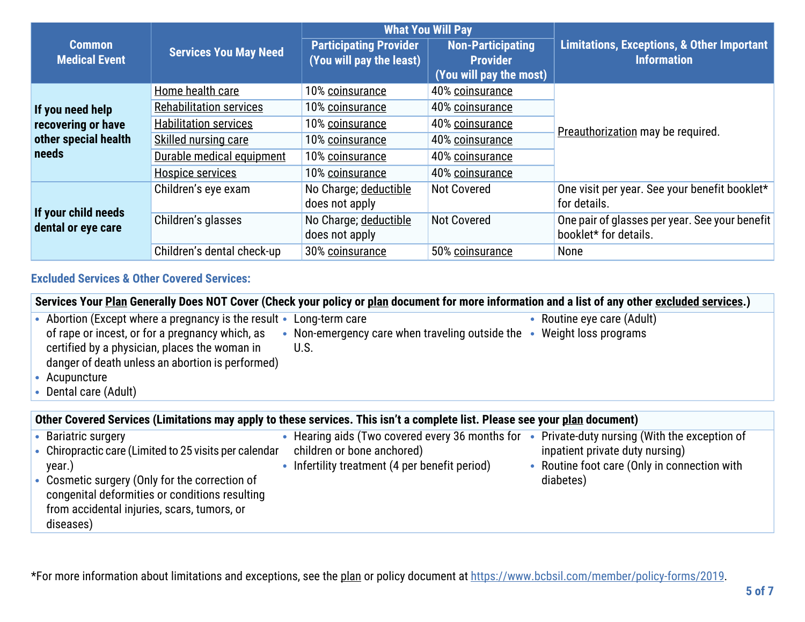|                                                                                                            |                                |                                                                         | <b>What You Will Pay</b>                                               |                                                                             |  |
|------------------------------------------------------------------------------------------------------------|--------------------------------|-------------------------------------------------------------------------|------------------------------------------------------------------------|-----------------------------------------------------------------------------|--|
| <b>Common</b><br><b>Medical Event</b>                                                                      | <b>Services You May Need</b>   | <b>Participating Provider</b><br>(You will pay the least)               | <b>Non-Participating</b><br><b>Provider</b><br>(You will pay the most) | <b>Limitations, Exceptions, &amp; Other Important</b><br><b>Information</b> |  |
|                                                                                                            | Home health care               | 10% coinsurance                                                         | 40% coinsurance                                                        |                                                                             |  |
| If you need help                                                                                           | <b>Rehabilitation services</b> | 10% coinsurance                                                         | 40% coinsurance                                                        |                                                                             |  |
| recovering or have<br>other special health<br>needs                                                        | <b>Habilitation services</b>   | 10% coinsurance                                                         | 40% coinsurance                                                        | Preauthorization may be required.                                           |  |
|                                                                                                            | Skilled nursing care           | 10% coinsurance                                                         | 40% coinsurance                                                        |                                                                             |  |
|                                                                                                            | Durable medical equipment      | 10% coinsurance                                                         | 40% coinsurance                                                        |                                                                             |  |
|                                                                                                            | <b>Hospice services</b>        | 10% coinsurance                                                         | 40% coinsurance                                                        |                                                                             |  |
|                                                                                                            | Children's eye exam            | No Charge; deductible<br>does not apply                                 | <b>Not Covered</b>                                                     | One visit per year. See your benefit booklet*<br>for details.               |  |
| If your child needs<br>Children's glasses<br>No Charge; deductible<br>dental or eye care<br>does not apply | <b>Not Covered</b>             | One pair of glasses per year. See your benefit<br>booklet* for details. |                                                                        |                                                                             |  |
|                                                                                                            | Children's dental check-up     | 30% coinsurance                                                         | 50% coinsurance                                                        | None                                                                        |  |

## **Excluded Services & Other Covered Services:**

from accidental injuries, scars, tumors, or

diseases)

|                                                                                                                                                                                                                                                        | Services Your Plan Generally Does NOT Cover (Check your policy or plan document for more information and a list of any other excluded services.) |                                                                                                                                             |
|--------------------------------------------------------------------------------------------------------------------------------------------------------------------------------------------------------------------------------------------------------|--------------------------------------------------------------------------------------------------------------------------------------------------|---------------------------------------------------------------------------------------------------------------------------------------------|
| • Abortion (Except where a pregnancy is the result •<br>of rape or incest, or for a pregnancy which, as<br>certified by a physician, places the woman in<br>danger of death unless an abortion is performed)<br>• Acupuncture<br>• Dental care (Adult) | Long-term care<br>Non-emergency care when traveling outside the • Weight loss programs<br>U.S.                                                   | • Routine eye care (Adult)                                                                                                                  |
| Other Covered Services (Limitations may apply to these services. This isn't a complete list. Please see your plan document)                                                                                                                            |                                                                                                                                                  |                                                                                                                                             |
| • Bariatric surgery<br>• Chiropractic care (Limited to 25 visits per calendar<br>year.)<br>• Cosmetic surgery (Only for the correction of<br>congenital deformities or conditions resulting                                                            | Hearing aids (Two covered every 36 months for<br>children or bone anchored)<br>Infertility treatment (4 per benefit period)                      | Private-duty nursing (With the exception of<br>inpatient private duty nursing)<br>• Routine foot care (Only in connection with<br>diabetes) |

\*For more information about limitations and exceptions, see the plan or policy document at https://www.bcbsil.com/member/policy-forms/2019.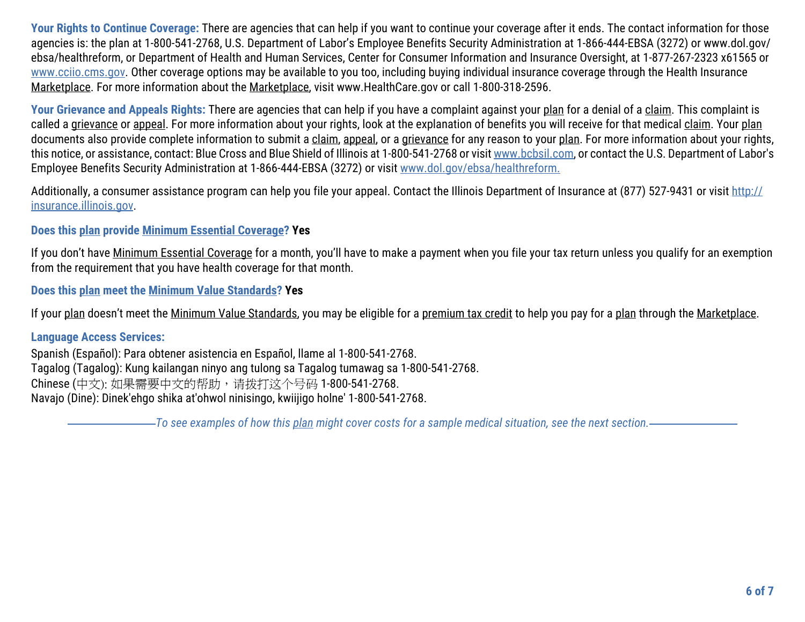**Your Rights to Continue Coverage:** There are agencies that can help if you want to continue your coverage after it ends. The contact information for those agencies is: the plan at 1-800-541-2768, U.S. Department of Labor's Employee Benefits Security Administration at 1-866-444-EBSA (3272) or www.dol.gov/ ebsa/healthreform, or Department of Health and Human Services, Center for Consumer Information and Insurance Oversight, at 1-877-267-2323 x61565 or www.cciio.cms.gov. Other coverage options may be available to you too, including buying individual insurance coverage through the Health Insurance Marketplace. For more information about the Marketplace, visit www.HealthCare.gov or call 1-800-318-2596.

**Your Grievance and Appeals Rights:** There are agencies that can help if you have a complaint against your plan for a denial of a claim. This complaint is called a grievance or appeal. For more information about your rights, look at the explanation of benefits you will receive for that medical claim. Your plan documents also provide complete information to submit a claim, appeal, or a grievance for any reason to your plan. For more information about your rights, this notice, or assistance, contact: Blue Cross and Blue Shield of Illinois at 1-800-541-2768 or visit www.bcbsil.com, or contact the U.S. Department of Labor's Employee Benefits Security Administration at 1-866-444-EBSA (3272) or visit www.dol.gov/ebsa/healthreform.

Additionally, a consumer assistance program can help you file your appeal. Contact the Illinois Department of Insurance at (877) 527-9431 or visit http:// insurance.illinois.gov.

## **Does this plan provide Minimum Essential Coverage? Yes**

If you don't have Minimum Essential Coverage for a month, you'll have to make a payment when you file your tax return unless you qualify for an exemption from the requirement that you have health coverage for that month.

**Does this plan meet the Minimum Value Standards? Yes**

If your plan doesn't meet the Minimum Value Standards, you may be eligible for a premium tax credit to help you pay for a plan through the Marketplace.

#### **Language Access Services:**

Spanish (Español): Para obtener asistencia en Español, llame al 1-800-541-2768. Tagalog (Tagalog): Kung kailangan ninyo ang tulong sa Tagalog tumawag sa 1-800-541-2768. Chinese (中文): 如果需要中文的帮助,请拨打这个号码 1-800-541-2768. Navajo (Dine): Dinek'ehgo shika at'ohwol ninisingo, kwiijigo holne' 1-800-541-2768.

*To see examples of how this plan might cover costs for a sample medical situation, see the next section.*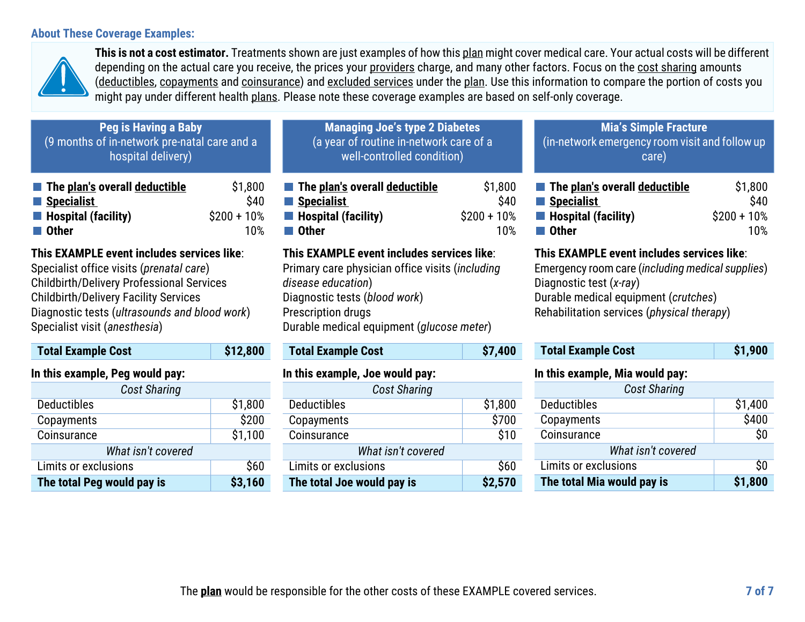#### **About These Coverage Examples:**



**This is not a cost estimator.** Treatments shown are just examples of how this plan might cover medical care. Your actual costs will be different depending on the actual care you receive, the prices your providers charge, and many other factors. Focus on the cost sharing amounts (deductibles, copayments and coinsurance) and excluded services under the plan. Use this information to compare the portion of costs you might pay under different health plans. Please note these coverage examples are based on self-only coverage.

| <b>Peg is Having a Baby</b><br>(9 months of in-network pre-natal care and a<br>hospital delivery) |               | <b>Managing Joe's type 2 Diabetes</b><br>(a year of routine in-network care of a<br>well-controlled condition) |               | <b>Mia's Simple Fracture</b><br>(in-network emergency room visit and follow up<br>care) |              |
|---------------------------------------------------------------------------------------------------|---------------|----------------------------------------------------------------------------------------------------------------|---------------|-----------------------------------------------------------------------------------------|--------------|
| The plan's overall deductible                                                                     | \$1,800       | The plan's overall deductible                                                                                  | \$1,800       | The plan's overall deductible                                                           | \$1,800      |
| Specialist                                                                                        | \$40          | Specialist                                                                                                     | \$40          | Specialist                                                                              | \$40         |
| $\blacksquare$ Hospital (facility)                                                                | $$200 + 10\%$ | <b>Hospital (facility)</b>                                                                                     | $$200 + 10\%$ | $\blacksquare$ Hospital (facility)                                                      | $$200 + 10%$ |
| <b>■ Other</b>                                                                                    | 10%           | ∎ Other                                                                                                        | 10%           | $\blacksquare$ Other                                                                    | 10%          |
| This EXAMPLE event includes services like:                                                        |               | This EXAMPLE event includes services like:                                                                     |               | This EXAMPLE event includes services like:                                              |              |
| Specialist office visits (prenatal care)                                                          |               | Primary care physician office visits (including                                                                |               | Emergency room care (including medical supplies)                                        |              |

Childbirth/Delivery Professional Services Childbirth/Delivery Facility Services Diagnostic tests (*ultrasounds and blood work*) Specialist visit (*anesthesia*)

| <b>Total Example Cost</b>       | \$12,800 |
|---------------------------------|----------|
| In this example. Peg would pay: |          |

| <b>Cost Sharing</b>        |         |  |  |
|----------------------------|---------|--|--|
| <b>Deductibles</b>         | \$1,800 |  |  |
| Copayments                 | \$200   |  |  |
| Coinsurance                | \$1,100 |  |  |
| What isn't covered         |         |  |  |
| Limits or exclusions       | \$60    |  |  |
| The total Peg would pay is | \$3,160 |  |  |

*disease education*) Diagnostic tests (*blood work*) Prescription drugs Durable medical equipment (*glucose meter*)

| <b>Total Example Cost</b> | \$7,400 |
|---------------------------|---------|
|---------------------------|---------|

## **In this example, Joe would pay:**

| <b>Cost Sharing</b>        |         |
|----------------------------|---------|
| <b>Deductibles</b>         | \$1,800 |
| Copayments                 | \$700   |
| Coinsurance                | \$10    |
| What isn't covered         |         |
| Limits or exclusions       | \$60    |
| The total Joe would pay is | \$2,570 |

# **Hospital (facility)** \$200 + 10%

#### **ices like**:

Emergency room care (*including medical supplies*) Diagnostic test (*x-ray*) Durable medical equipment (*crutches*) Rehabilitation services (*physical therapy*)

| <b>Total Example Cost</b> | \$1,900 |
|---------------------------|---------|
|---------------------------|---------|

#### **In this example, Mia would pay:**

| <b>Cost Sharing</b>        |         |  |
|----------------------------|---------|--|
| <b>Deductibles</b>         | \$1,400 |  |
| Copayments                 | \$400   |  |
| Coinsurance                | \$0     |  |
| What isn't covered         |         |  |
| Limits or exclusions       | \$0     |  |
| The total Mia would pay is | \$1,800 |  |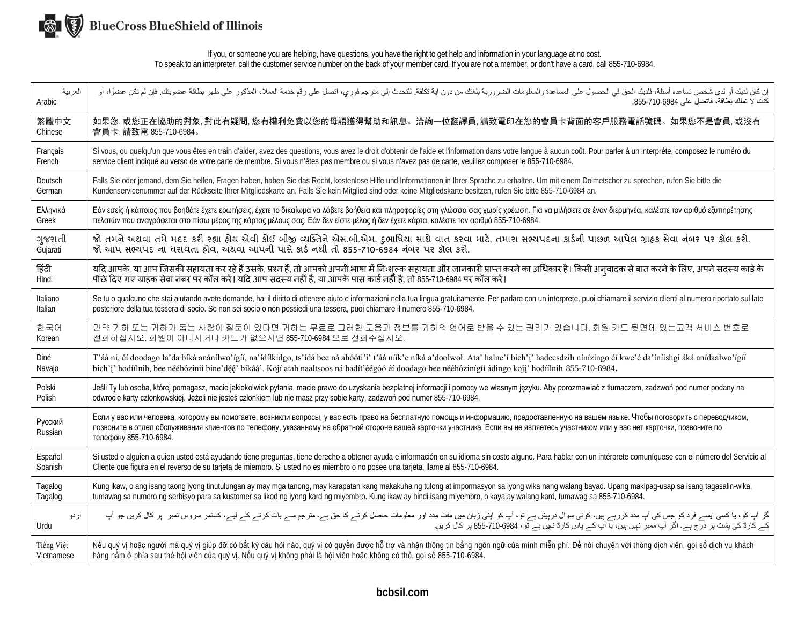

If you, or someone you are helping, have questions, you have the right to get help and information in your language at no cost. To speak to an interpreter, call the customer service number on the back of your member card. If you are not a member, or don't have a card, call 855-710-6984.

| العربية            | إن كان لديك أو لدى شخص تساعده أسئلة، فلديك الحق في الحصول على المساعدة والمعلومات المنافع النحائ الى التلاء المركع من مع من المحرم على نفع الملح المنكرر على ظهر بطاقة عضويتك. فإن لم تكن عضوًا، أو                                                                                                                                                                                                    |
|--------------------|--------------------------------------------------------------------------------------------------------------------------------------------------------------------------------------------------------------------------------------------------------------------------------------------------------------------------------------------------------------------------------------------------------|
| Arabic             | كنت لا تملك بطاقة، فاتصل على 6984-710-855.                                                                                                                                                                                                                                                                                                                                                             |
| 繁體中文               | 如果您,或您正在協助的對象,對此有疑問,您有權利免費以您的母語獲得幫助和訊息。洽詢一位翻譯員,請致電印在您的會員卡背面的客戶服務電話號碼。如果您不是會員,或沒有                                                                                                                                                                                                                                                                                                                       |
| Chinese            | 會員卡,請致電 855-710-6984。                                                                                                                                                                                                                                                                                                                                                                                  |
| Français           | Si vous, ou quelqu'un que vous êtes en train d'aider, avez des questions, vous avez le droit d'obtenir de l'aide et l'information dans votre langue à aucun coût. Pour parler à un interprète, composez le numéro du                                                                                                                                                                                   |
| French             | service client indiqué au verso de votre carte de membre. Si vous n'êtes pas membre ou si vous n'avez pas de carte, veuillez composer le 855-710-6984.                                                                                                                                                                                                                                                 |
| Deutsch            | Falls Sie oder jemand, dem Sie helfen, Fragen haben, haben Sie das Recht, kostenlose Hilfe und Informationen in Ihrer Sprache zu erhalten. Um mit einem Dolmetscher zu sprechen, rufen Sie bitte die                                                                                                                                                                                                   |
| German             | Kundenservicenummer auf der Rückseite Ihrer Mitgliedskarte an. Falls Sie kein Mitglied sind oder keine Mitgliedskarte besitzen, rufen Sie bitte 855-710-6984 an.                                                                                                                                                                                                                                       |
| Ελληνικά           | Εάν εσείς ή κάποιος που βοηθάτε έχετε ερωτήσεις, έχετε το δικαίωμα να λάβετε βοήθεια και πληροφορίες στη γλώσσα σας χωρίς χρέωση. Για να μιλήσετε σε έναν διερμηνέα, καλέστε τον αριθμό εξυπηρέτησης                                                                                                                                                                                                   |
| Greek              | πελατών που αναγράφεται στο πίσω μέρος της κάρτας μέλους σας. Εάν δεν είστε μέλος ή δεν έχετε κάρτα, καλέστε τον αριθμό 855-710-6984.                                                                                                                                                                                                                                                                  |
| ગુજરાતી            | જો તમને અથવા તમે મદદ કરી રહ્યા હોય એવી કોઈ બીજી વ્યક્તિને એસ.બી.એમ. દુભાષિયા સાથે વાત કરવા માટે, તમારા સભ્યપદના કાર્ડની પાછળ આપેલ ગ્રાહક સેવા નંબર પર કૉલ કરો.                                                                                                                                                                                                                                         |
| Gujarati           | જો આપ સભ્યપદ ના ધરાવતા હોવ, અથવા આપની પાસે કાર્ડ નથી તો 855-710-6984 નંબર પર કૉલ કરો.                                                                                                                                                                                                                                                                                                                  |
| हिंदी              | यदि आपके, या आप जिसकी सहायता कर रहे हैं उसके, प्रश्न हैं, तो आपको अपनी भाषा में निःशुल्क सहायता और जानकारी प्राप्त करने का अधिकार है। किसी अन्वादक से बात करने के लिए, अपने सदस्य कार्ड के                                                                                                                                                                                                             |
| Hindi              | पीछे दिए गए ग्राहक सेवा नंबर पर कॉल करें। यदि आप सदस्य नहीं हैं. या आपके पास कार्ड नहीं है, तो 855-710-6984 पर कॉल करें।                                                                                                                                                                                                                                                                               |
| Italiano           | Se tu o qualcuno che stai aiutando avete domande, hai il diritto di ottenere aiuto e informazioni nella tua lingua gratuitamente. Per parlare con un interprete, puoi chiamare il servizio clienti al numero riportato sul lat                                                                                                                                                                         |
| <b>Italian</b>     | posteriore della tua tessera di socio. Se non sei socio o non possiedi una tessera, puoi chiamare il numero 855-710-6984.                                                                                                                                                                                                                                                                              |
| 한국어                | 만약 귀하 또는 귀하가 돕는 사람이 질문이 있다면 귀하는 무료로 그러한 도움과 정보를 귀하의 언어로 받을 수 있는 권리가 있습니다. 회원 카드 뒷면에 있는고객 서비스 번호로                                                                                                                                                                                                                                                                                                       |
| Korean             | 전화하십시오. 회원이 아니시거나 카드가 없으시면 855-710-6984 으로 전화주십시오.                                                                                                                                                                                                                                                                                                                                                     |
| Diné               | T'áá ni, éí doodago ła'da bíká anánílwo'ígíí, na'ídíłkidgo, ts'ídá bee ná ahóóti'i' t'áá níík'e níká a'doolwoł. Ata' halne'í bich'i' hadeesdzih nínízingo éí kwe'é da'íníishgi áká anídaalwo'ígíí                                                                                                                                                                                                      |
| Navajo             | bich'i' hodíílnih, bee nééhózinii bine'déé' bikáá'. Kojí atah naaltsoos ná hadít'éégóó éí doodago bee nééhózinígíí ádingo koji' hodíílnih 855-710-6984.                                                                                                                                                                                                                                                |
| Polski             | Jeśli Ty lub osoba, której pomagasz, macie jakiekolwiek pytania, macie prawo do uzyskania bezpłatnej informacji i pomocy we własnym języku. Aby porozmawiać z tłumaczem, zadzwoń pod numer podany na                                                                                                                                                                                                   |
| Polish             | odwrocie karty członkowskiej. Jeżeli nie jesteś członkiem lub nie masz przy sobie karty, zadzwoń pod numer 855-710-6984.                                                                                                                                                                                                                                                                               |
| Русский<br>Russian | Если у вас или человека, которому вы помогаете, возникли вопросы, у вас есть право на бесплатную помощь и информацию, предоставленную на вашем языке. Чтобы поговорить с переводчиком,<br>позвоните в отдел обслуживания клиентов по телефону, указанному на обратной стороне вашей карточки участника. Если вы не являетесь участником или у вас нет карточки, позвоните по<br>телефону 855-710-6984. |
| Español            | Si usted o alguien a quien usted está ayudando tiene preguntas, tiene derecho a obtener ayuda e información en su idioma sin costo alguno. Para hablar con un intérprete comuníquese con el número del Servicio al                                                                                                                                                                                     |
| Spanish            | Cliente que figura en el reverso de su tarjeta de miembro. Si usted no es miembro o no posee una tarjeta, llame al 855-710-6984.                                                                                                                                                                                                                                                                       |
| Tagalog            | Kung ikaw, o ang isang taong iyong tinutulungan ay may mga tanong, may karapatan kang makakuha ng tulong at impormasyon sa iyong wika nang walang bayad. Upang makipag-usap sa isang tagasalin-wika,                                                                                                                                                                                                   |
| Tagalog            | tumawag sa numero ng serbisyo para sa kustomer sa likod ng iyong kard ng miyembro. Kung ikaw ay hindi isang miyembro, o kaya ay walang kard, tumawag sa 855-710-6984.                                                                                                                                                                                                                                  |
| اردو               | گر آپ کو، یا کسی ایسے فرد کو جس کی آپ مدد کررہے ہیں، کوئی سوال درپش رہتی کر سار کرنے کا حق ہے۔ مترجم سے بات کرنے کے لیے، کسٹمر سروس نمبر   پر کال کریں جو آپ                                                                                                                                                                                                                                           |
| Urdu               | کے کارڈ کی پشت پر درج ہے۔ اگر آپ ممبر نہیں ہیں، یا آپ کے پاس کارڈ نہیں ہے آئی، 6984-710-855 پر کال کریں۔                                                                                                                                                                                                                                                                                               |
| Tiếng Việt         | Nếu quý vị hoặc người mà quý vị giúp đỡ có bất kỳ câu hỏi nào, quý vị có quyền được hỗ trợ và nhận thông tin bằng ngôn ngữ của mình miễn phí. Để nói chuyện với thông dịch viên, gọi số dịch vụ khách                                                                                                                                                                                                  |
| Vietnamese         | hàng nằm ở phía sau thẻ hội viên của quý vị. Nếu quý vị không phải là hội viên hoặc không có thẻ, gọi số 855-710-6984.                                                                                                                                                                                                                                                                                 |